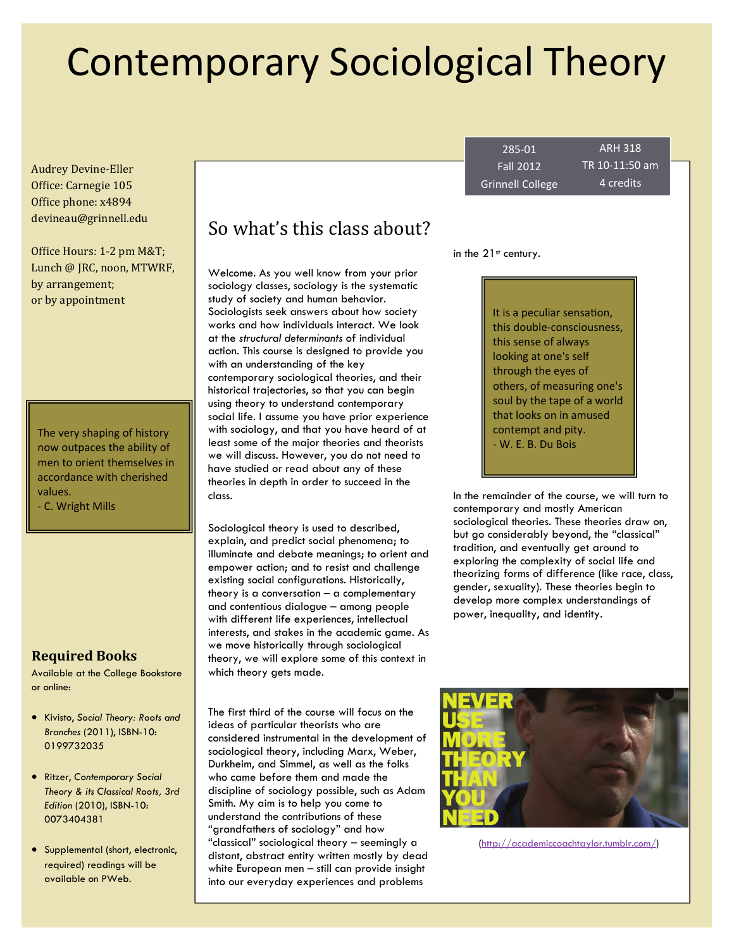# Contemporary Sociological Theory

Audrey Devine‐Eller Office: Carnegie 105 Office phone: x4894 devineau@grinnell.edu 

Office Hours: 1-2 pm M&T; Lunch @ JRC, noon, MTWRF, by arrangement; or by appointment

The very shaping of history now outpaces the ability of men to orient themselves in accordance with cherished values.

‐ C. Wright Mills

### **Required Books**

Available at the College Bookstore or online:

- Kivisto, *Social Theory: Roots and Branches* (2011), ISBN-10: 0199732035
- Ritzer, *Contemporary Social Theory & its Classical Roots, 3rd Edition* (2010), ISBN-10: 0073404381
- Supplemental (short, electronic, required) readings will be available on PWeb.

# So what's this class about?

Welcome. As you well know from your prior sociology classes, sociology is the systematic study of society and human behavior. Sociologists seek answers about how society works and how individuals interact. We look at the *structural determinants* of individual action. This course is designed to provide you with an understanding of the key contemporary sociological theories, and their historical trajectories, so that you can begin using theory to understand contemporary social life. I assume you have prior experience with sociology, and that you have heard of at least some of the major theories and theorists we will discuss. However, you do not need to have studied or read about any of these theories in depth in order to succeed in the class.

Sociological theory is used to described, explain, and predict social phenomena; to illuminate and debate meanings; to orient and empower action; and to resist and challenge existing social configurations. Historically, theory is a conversation – a complementary and contentious dialogue – among people with different life experiences, intellectual interests, and stakes in the academic game. As we move historically through sociological theory, we will explore some of this context in which theory gets made.

The first third of the course will focus on the ideas of particular theorists who are considered instrumental in the development of sociological theory, including Marx, Weber, Durkheim, and Simmel, as well as the folks who came before them and made the discipline of sociology possible, such as Adam Smith. My aim is to help you come to understand the contributions of these "grandfathers of sociology" and how "classical" sociological theory – seemingly a distant, abstract entity written mostly by dead white European men – still can provide insight into our everyday experiences and problems

285‐01 Fall 2012 Grinnell College

ARH 318 TR 10‐11:50 am 4 credits

in the 21<sup>st</sup> century.

It is a peculiar sensation, this double‐consciousness, this sense of always looking at one's self through the eyes of others, of measuring one's soul by the tape of a world that looks on in amused contempt and pity. ‐ W. E. B. Du Bois

In the remainder of the course, we will turn to contemporary and mostly American sociological theories. These theories draw on, but go considerably beyond, the "classical" tradition, and eventually get around to exploring the complexity of social life and theorizing forms of difference (like race, class, gender, sexuality). These theories begin to develop more complex understandings of power, inequality, and identity.



([http://academiccoachtaylor.tumblr.com/\)](http://academiccoachtaylor.tumblr.com/)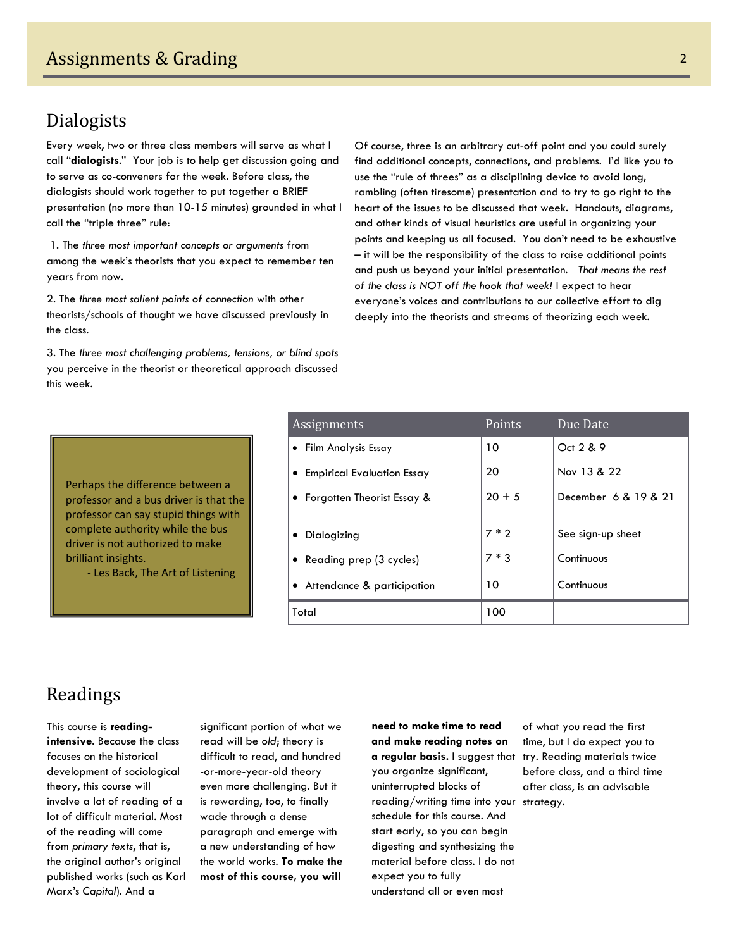# Dialogists

Every week, two or three class members will serve as what I call "**dialogists**." Your job is to help get discussion going and to serve as co-conveners for the week. Before class, the dialogists should work together to put together a BRIEF presentation (no more than 10-15 minutes) grounded in what I call the "triple three" rule:

 1. The *three most important concepts or arguments* from among the week's theorists that you expect to remember ten years from now.

2. The *three most salient points of connection* with other theorists/schools of thought we have discussed previously in the class.

3. The *three most challenging problems, tensions, or blind spots* you perceive in the theorist or theoretical approach discussed this week.

Of course, three is an arbitrary cut-off point and you could surely find additional concepts, connections, and problems. I'd like you to use the "rule of threes" as a disciplining device to avoid long, rambling (often tiresome) presentation and to try to go right to the heart of the issues to be discussed that week. Handouts, diagrams, and other kinds of visual heuristics are useful in organizing your points and keeping us all focused. You don't need to be exhaustive – it will be the responsibility of the class to raise additional points and push us beyond your initial presentation*. That means the rest of the class is NOT off the hook that week!* I expect to hear everyone's voices and contributions to our collective effort to dig deeply into the theorists and streams of theorizing each week.

Perhaps the difference between a professor and a bus driver is that the professor can say stupid things with complete authority while the bus driver is not authorized to make brilliant insights.

‐ Les Back, The Art of Listening

| Assignments                  | Points   | Due Date             |
|------------------------------|----------|----------------------|
| • Film Analysis Essay        | 10       | Oct 2 & 9            |
| • Empirical Evaluation Essay | 20       | Nov 13 & 22          |
| • Forgotten Theorist Essay & | $20 + 5$ | December 6 & 19 & 21 |
|                              |          |                      |
| Dialogizing                  | $7 * 2$  | See sign-up sheet    |
| • Reading prep (3 cycles)    | $7 * 3$  | Continuous           |
| • Attendance & participation | 10       | Continuous           |
| Total                        | 100      |                      |

# Readings

This course is **readingintensive**. Because the class focuses on the historical development of sociological theory, this course will involve a lot of reading of a lot of difficult material. Most of the reading will come from *primary texts*, that is, the original author's original published works (such as Karl Marx's *Capital*). And a

significant portion of what we read will be *old*; theory is difficult to read, and hundred -or-more-year-old theory even more challenging. But it is rewarding, too, to finally wade through a dense paragraph and emerge with a new understanding of how the world works. **To make the most of this course, you will** 

**need to make time to read and make reading notes on a regular basis.** I suggest that try. Reading materials twice you organize significant, uninterrupted blocks of reading/writing time into your strategy. schedule for this course. And start early, so you can begin digesting and synthesizing the material before class. I do not expect you to fully understand all or even most

of what you read the first time, but I do expect you to before class, and a third time after class, is an advisable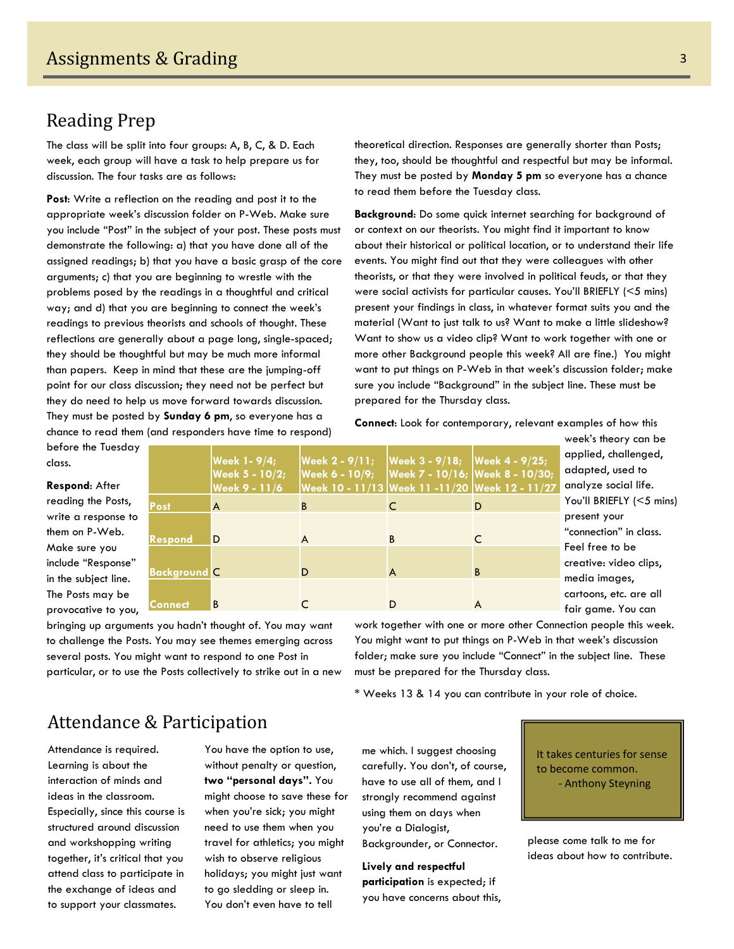## **Reading Prep**

The class will be split into four groups: A, B, C, & D. Each week, each group will have a task to help prepare us for discussion. The four tasks are as follows:

**Post**: Write a reflection on the reading and post it to the appropriate week's discussion folder on P-Web. Make sure you include "Post" in the subject of your post. These posts must demonstrate the following: a) that you have done all of the assigned readings; b) that you have a basic grasp of the core arguments; c) that you are beginning to wrestle with the problems posed by the readings in a thoughtful and critical way; and d) that you are beginning to connect the week's readings to previous theorists and schools of thought. These reflections are generally about a page long, single-spaced; they should be thoughtful but may be much more informal than papers. Keep in mind that these are the jumping-off point for our class discussion; they need not be perfect but they do need to help us move forward towards discussion. They must be posted by **Sunday 6 pm**, so everyone has a chance to read them (and responders have time to respond)

theoretical direction. Responses are generally shorter than Posts; they, too, should be thoughtful and respectful but may be informal. They must be posted by **Monday 5 pm** so everyone has a chance to read them before the Tuesday class.

**Background**: Do some quick internet searching for background of or context on our theorists. You might find it important to know about their historical or political location, or to understand their life events. You might find out that they were colleagues with other theorists, or that they were involved in political feuds, or that they were social activists for particular causes. You'll BRIEFLY (<5 mins) present your findings in class, in whatever format suits you and the material (Want to just talk to us? Want to make a little slideshow? Want to show us a video clip? Want to work together with one or more other Background people this week? All are fine.) You might want to put things on P-Web in that week's discussion folder; make sure you include "Background" in the subject line. These must be prepared for the Thursday class.

**Connect**: Look for contemporary, relevant examples of how this

before the Tuesday class.

**Respond**: After reading the Posts, write a response to them on P-Web. Make sure you include "Response" in the subject line. The Posts may be provocative to you,

|                     | Week 1- 9/4;<br>Week 5 - 10/2; | <b>Week 2 - 9/11;</b><br>Week 6 - 10/9; Week 7 - 10/16; Week 8 - 10/30; | Week 3 - 9/18; Week 4 - 9/25; |   | a <br>a    |
|---------------------|--------------------------------|-------------------------------------------------------------------------|-------------------------------|---|------------|
|                     | <b>Week 9 - 11/6</b>           | Week 10 - 11/13 Week 11 -11/20 Week 12 - 11/27                          |                               |   | a          |
| Post                | A                              | B                                                                       |                               | D | Y,         |
|                     |                                |                                                                         |                               |   | $p_{1}$    |
| <b>Respond</b>      | D                              | A                                                                       | B                             |   | $^{\mu}$ c |
|                     |                                |                                                                         |                               |   | F.         |
| <b>Background C</b> |                                | D                                                                       | A                             | B | cr         |
|                     |                                |                                                                         |                               |   | m          |
| Connect             | B                              |                                                                         |                               | A | CC         |
|                     |                                |                                                                         |                               |   | f۵         |

week's theory can be applied, challenged, dapted, used to analyze social life. ou'll BRIEFLY (<5 mins) resent your connection" in class. eel free to be eative: video clips, edia images, artoons, etc. are all fair game. You can

bringing up arguments you hadn't thought of. You may want to challenge the Posts. You may see themes emerging across several posts. You might want to respond to one Post in particular, or to use the Posts collectively to strike out in a new work together with one or more other Connection people this week. You might want to put things on P-Web in that week's discussion folder; make sure you include "Connect" in the subject line. These must be prepared for the Thursday class.

\* Weeks 13 & 14 you can contribute in your role of choice.

# Attendance & Participation

Attendance is required. Learning is about the interaction of minds and ideas in the classroom. Especially, since this course is structured around discussion and workshopping writing together, it's critical that you attend class to participate in the exchange of ideas and to support your classmates.

You have the option to use, without penalty or question, **two "personal days".** You might choose to save these for when you're sick; you might need to use them when you travel for athletics; you might wish to observe religious holidays; you might just want to go sledding or sleep in. You don't even have to tell

me which. I suggest choosing carefully. You don't, of course, have to use all of them, and I strongly recommend against using them on days when you're a Dialogist, Backgrounder, or Connector.

**Lively and respectful participation** is expected; if you have concerns about this, It takes centuries for sense to become common. ‐ Anthony Steyning

please come talk to me for ideas about how to contribute.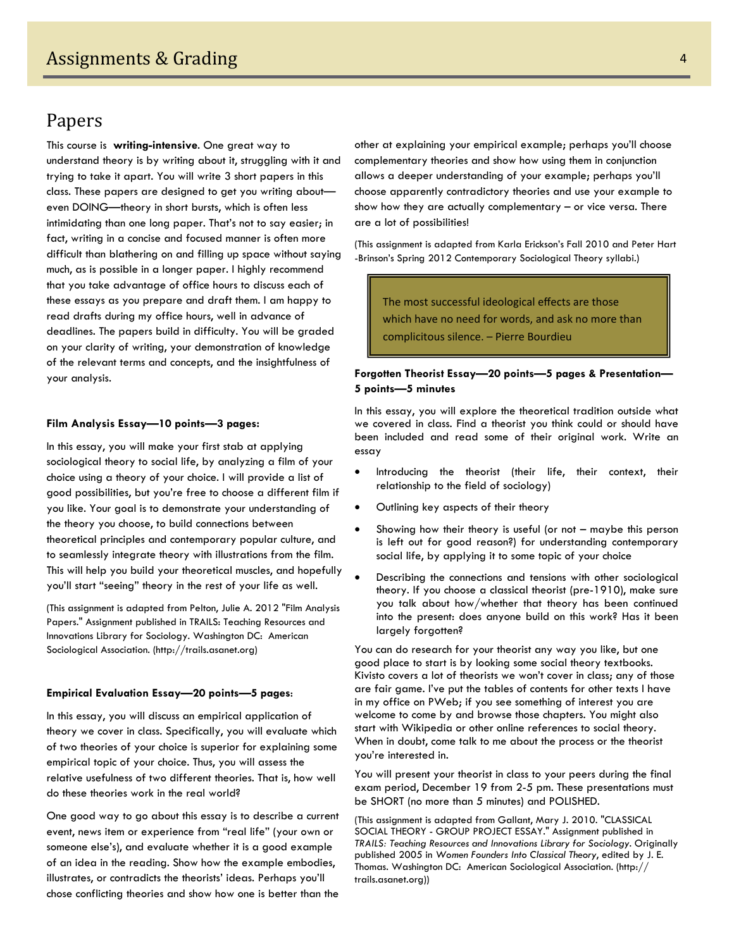### Papers

This course is **writing-intensive**. One great way to understand theory is by writing about it, struggling with it and trying to take it apart. You will write 3 short papers in this class. These papers are designed to get you writing about even DOING—theory in short bursts, which is often less intimidating than one long paper. That's not to say easier; in fact, writing in a concise and focused manner is often more difficult than blathering on and filling up space without saying much, as is possible in a longer paper. I highly recommend that you take advantage of office hours to discuss each of these essays as you prepare and draft them. I am happy to read drafts during my office hours, well in advance of deadlines. The papers build in difficulty. You will be graded on your clarity of writing, your demonstration of knowledge of the relevant terms and concepts, and the insightfulness of your analysis.

#### **Film Analysis Essay—10 points—3 pages:**

In this essay, you will make your first stab at applying sociological theory to social life, by analyzing a film of your choice using a theory of your choice. I will provide a list of good possibilities, but you're free to choose a different film if you like. Your goal is to demonstrate your understanding of the theory you choose, to build connections between theoretical principles and contemporary popular culture, and to seamlessly integrate theory with illustrations from the film. This will help you build your theoretical muscles, and hopefully you'll start "seeing" theory in the rest of your life as well.

(This assignment is adapted from Pelton, Julie A. 2012 "Film Analysis Papers." Assignment published in TRAILS: Teaching Resources and Innovations Library for Sociology. Washington DC: American Sociological Association. (http://trails.asanet.org)

#### **Empirical Evaluation Essay—20 points—5 pages**:

In this essay, you will discuss an empirical application of theory we cover in class. Specifically, you will evaluate which of two theories of your choice is superior for explaining some empirical topic of your choice. Thus, you will assess the relative usefulness of two different theories. That is, how well do these theories work in the real world?

One good way to go about this essay is to describe a current event, news item or experience from "real life" (your own or someone else's), and evaluate whether it is a good example of an idea in the reading. Show how the example embodies, illustrates, or contradicts the theorists' ideas. Perhaps you'll chose conflicting theories and show how one is better than the

other at explaining your empirical example; perhaps you'll choose complementary theories and show how using them in conjunction allows a deeper understanding of your example; perhaps you'll choose apparently contradictory theories and use your example to show how they are actually complementary – or vice versa. There are a lot of possibilities!

(This assignment is adapted from Karla Erickson's Fall 2010 and Peter Hart -Brinson's Spring 2012 Contemporary Sociological Theory syllabi.)

The most successful ideological effects are those which have no need for words, and ask no more than complicitous silence. – Pierre Bourdieu

#### **Forgotten Theorist Essay—20 points—5 pages & Presentation— 5 points—5 minutes**

In this essay, you will explore the theoretical tradition outside what we covered in class. Find a theorist you think could or should have been included and read some of their original work. Write an essay

- Introducing the theorist (their life, their context, their relationship to the field of sociology)
- Outlining key aspects of their theory
- Showing how their theory is useful (or not maybe this person is left out for good reason?) for understanding contemporary social life, by applying it to some topic of your choice
- Describing the connections and tensions with other sociological theory. If you choose a classical theorist (pre-1910), make sure you talk about how/whether that theory has been continued into the present: does anyone build on this work? Has it been largely forgotten?

You can do research for your theorist any way you like, but one good place to start is by looking some social theory textbooks. Kivisto covers a lot of theorists we won't cover in class; any of those are fair game. I've put the tables of contents for other texts I have in my office on PWeb; if you see something of interest you are welcome to come by and browse those chapters. You might also start with Wikipedia or other online references to social theory. When in doubt, come talk to me about the process or the theorist you're interested in.

You will present your theorist in class to your peers during the final exam period, December 19 from 2-5 pm. These presentations must be SHORT (no more than 5 minutes) and POLISHED.

(This assignment is adapted from Gallant, Mary J. 2010. "CLASSICAL SOCIAL THEORY - GROUP PROJECT ESSAY." Assignment published in *TRAILS: Teaching Resources and Innovations Library for Sociology*. Originally published 2005 in *Women Founders Into Classical Theory*, edited by J. E. Thomas. Washington DC: American Sociological Association. (http:// trails.asanet.org))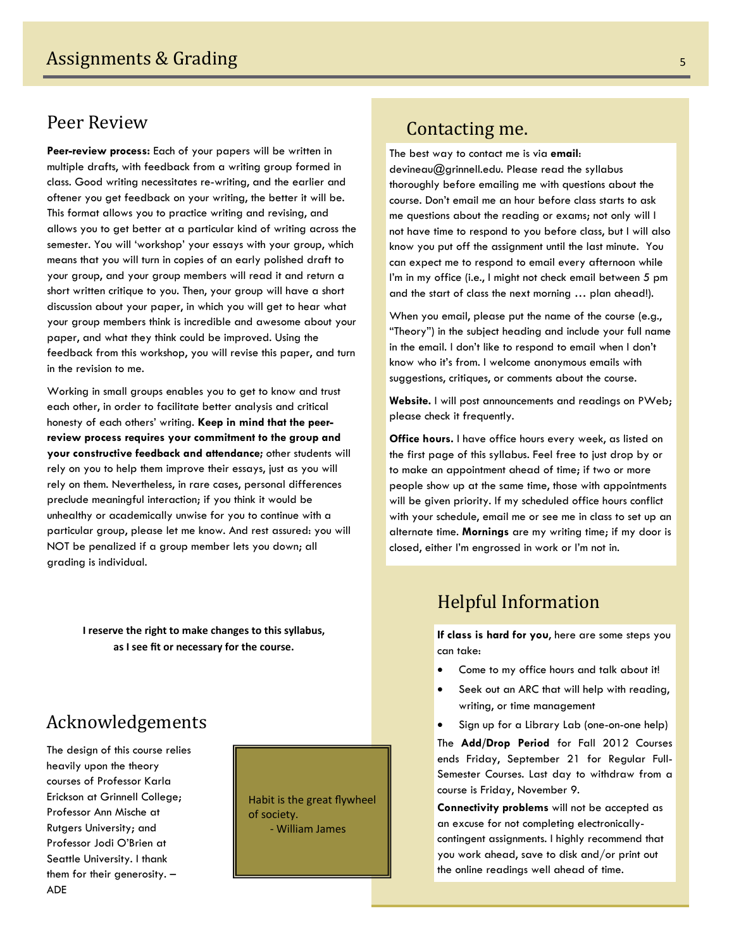### Peer Review

**Peer-review process:** Each of your papers will be written in multiple drafts, with feedback from a writing group formed in class. Good writing necessitates re-writing, and the earlier and oftener you get feedback on your writing, the better it will be. This format allows you to practice writing and revising, and allows you to get better at a particular kind of writing across the semester. You will 'workshop' your essays with your group, which means that you will turn in copies of an early polished draft to your group, and your group members will read it and return a short written critique to you. Then, your group will have a short discussion about your paper, in which you will get to hear what your group members think is incredible and awesome about your paper, and what they think could be improved. Using the feedback from this workshop, you will revise this paper, and turn in the revision to me.

Working in small groups enables you to get to know and trust each other, in order to facilitate better analysis and critical honesty of each others' writing. **Keep in mind that the peerreview process requires your commitment to the group and your constructive feedback and attendance;** other students will rely on you to help them improve their essays, just as you will rely on them. Nevertheless, in rare cases, personal differences preclude meaningful interaction; if you think it would be unhealthy or academically unwise for you to continue with a particular group, please let me know. And rest assured: you will NOT be penalized if a group member lets you down; all grading is individual.

> **I reserve the right to make changes to this syllabus, as I see fit or necessary for the course.**

### Acknowledgements

The design of this course relies heavily upon the theory courses of Professor Karla Erickson at Grinnell College; Professor Ann Mische at Rutgers University; and Professor Jodi O'Brien at Seattle University. I thank them for their generosity. – ADE

Habit is the great flywheel of society. ‐ William James

### Contacting me.

The best way to contact me is via **email**: devineau@grinnell.edu. Please read the syllabus thoroughly before emailing me with questions about the course. Don't email me an hour before class starts to ask me questions about the reading or exams; not only will I not have time to respond to you before class, but I will also know you put off the assignment until the last minute. You can expect me to respond to email every afternoon while I'm in my office (i.e., I might not check email between 5 pm and the start of class the next morning … plan ahead!).

When you email, please put the name of the course (e.g., "Theory") in the subject heading and include your full name in the email. I don't like to respond to email when I don't know who it's from. I welcome anonymous emails with suggestions, critiques, or comments about the course.

**Website.** I will post announcements and readings on PWeb; please check it frequently.

**Office hours.** I have office hours every week, as listed on the first page of this syllabus. Feel free to just drop by or to make an appointment ahead of time; if two or more people show up at the same time, those with appointments will be given priority. If my scheduled office hours conflict with your schedule, email me or see me in class to set up an alternate time. **Mornings** are my writing time; if my door is closed, either I'm engrossed in work or I'm not in.

### **Helpful Information**

**If class is hard for you**, here are some steps you can take:

- Come to my office hours and talk about it!
- Seek out an ARC that will help with reading, writing, or time management
- Sign up for a Library Lab (one-on-one help)

The **Add/Drop Period** for Fall 2012 Courses ends Friday, September 21 for Regular Full-Semester Courses. Last day to withdraw from a course is Friday, November 9.

**Connectivity problems** will not be accepted as an excuse for not completing electronicallycontingent assignments. I highly recommend that you work ahead, save to disk and/or print out the online readings well ahead of time.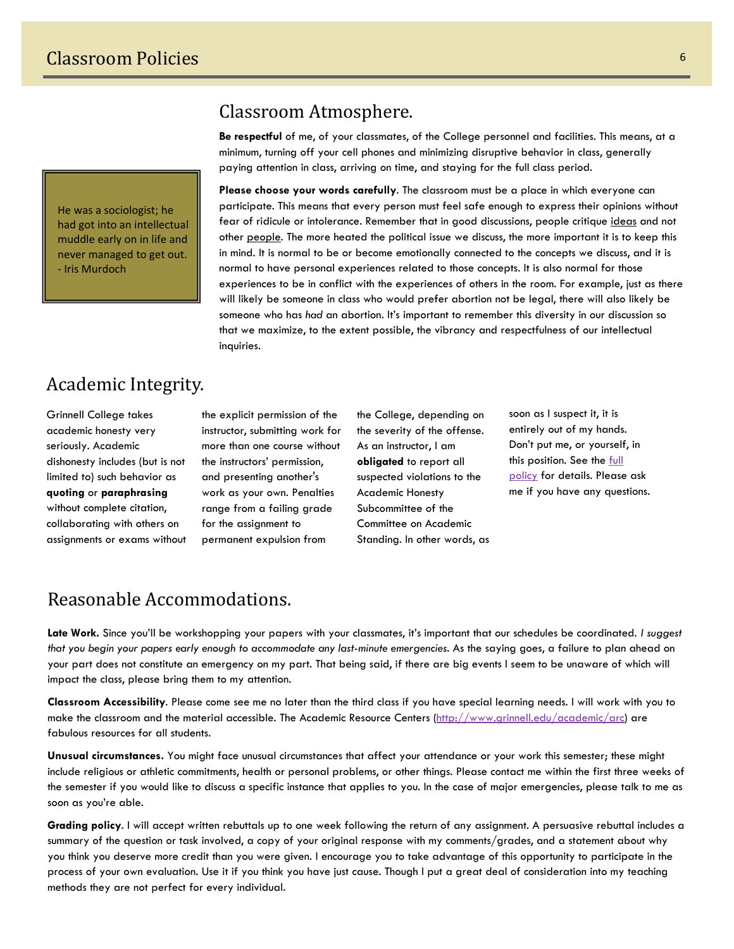He was a sociologist; he had got into an intellectual muddle early on in life and never managed to get out. ‐ Iris Murdoch

### Classroom Atmosphere.

**Be respectful** of me, of your classmates, of the College personnel and facilities. This means, at a minimum, turning off your cell phones and minimizing disruptive behavior in class, generally paying attention in class, arriving on time, and staying for the full class period.

**Please choose your words carefully**. The classroom must be a place in which everyone can participate. This means that every person must feel safe enough to express their opinions without fear of ridicule or intolerance. Remember that in good discussions, people critique ideas and not other people. The more heated the political issue we discuss, the more important it is to keep this in mind. It is normal to be or become emotionally connected to the concepts we discuss, and it is normal to have personal experiences related to those concepts. It is also normal for those experiences to be in conflict with the experiences of others in the room. For example, just as there will likely be someone in class who would prefer abortion not be legal, there will also likely be someone who has *had* an abortion. It's important to remember this diversity in our discussion so that we maximize, to the extent possible, the vibrancy and respectfulness of our intellectual inquiries.

# Academic Integrity.

Grinnell College takes academic honesty very seriously. Academic dishonesty includes (but is not limited to) such behavior as **quoting** or **paraphrasing** without complete citation, collaborating with others on assignments or exams without

the explicit permission of the instructor, submitting work for more than one course without the instructors' permission, and presenting another's work as your own. Penalties range from a failing grade for the assignment to permanent expulsion from

the College, depending on the severity of the offense. As an instructor, I am **obligated** to report all suspected violations to the Academic Honesty Subcommittee of the Committee on Academic Standing. In other words, as soon as I suspect it, it is entirely out of my hands. Don't put me, or yourself, in this position. See the full [policy](http://www.grinnell.edu/offices/studentaffairs/shb/academicpolicies/academichonesty) for details. Please ask me if you have any questions.

### Reasonable Accommodations.

**Late Work.** Since you'll be workshopping your papers with your classmates, it's important that our schedules be coordinated. *I suggest that you begin your papers early enough to accommodate any last-minute emergencies.* As the saying goes, a failure to plan ahead on your part does not constitute an emergency on my part. That being said, if there are big events I seem to be unaware of which will impact the class, please bring them to my attention.

**Classroom Accessibility**. Please come see me no later than the third class if you have special learning needs. I will work with you to make the classroom and the material accessible. The Academic Resource Centers [\(http://www.grinnell.edu/academic/arc](http://www.grinnell.edu/academic/arc)) are fabulous resources for all students.

**Unusual circumstances.** You might face unusual circumstances that affect your attendance or your work this semester; these might include religious or athletic commitments, health or personal problems, or other things. Please contact me within the first three weeks of the semester if you would like to discuss a specific instance that applies to you. In the case of major emergencies, please talk to me as soon as you're able.

**Grading policy**. I will accept written rebuttals up to one week following the return of any assignment. A persuasive rebuttal includes a summary of the question or task involved, a copy of your original response with my comments/grades, and a statement about why you think you deserve more credit than you were given. I encourage you to take advantage of this opportunity to participate in the process of your own evaluation. Use it if you think you have just cause. Though I put a great deal of consideration into my teaching methods they are not perfect for every individual.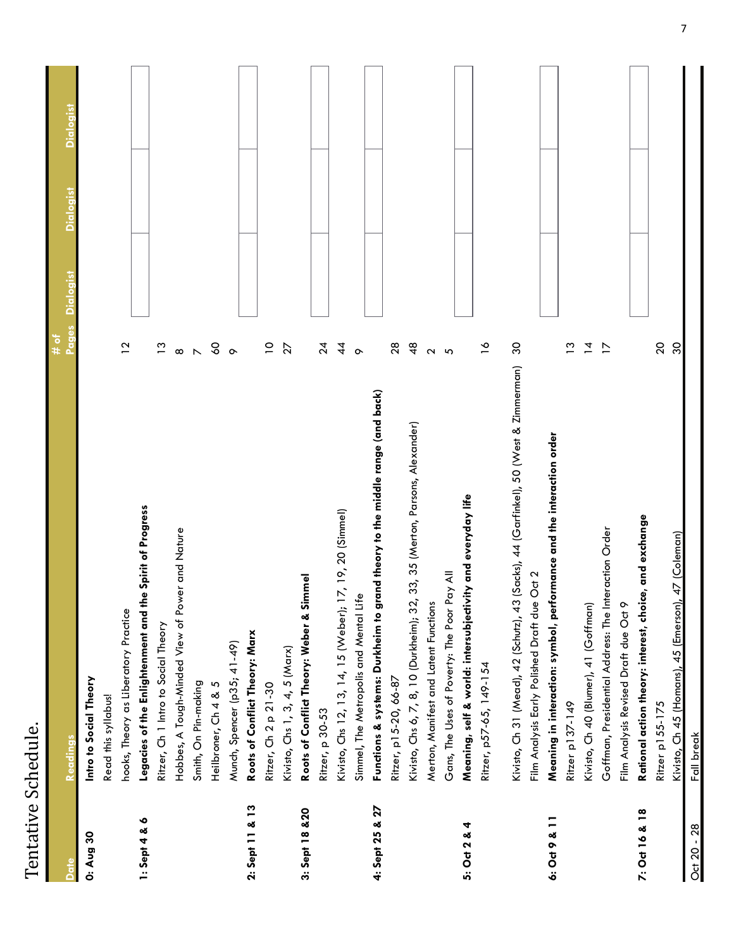| Schedule.<br>٦<br>۔<br>دا<br>Tontativo<br>J |  |
|---------------------------------------------|--|
| ミュコ                                         |  |

|                 | Readings                                                                                 | io<br>O<br>Pages<br># of                      | <b>Dialogist</b> | Dialogis |
|-----------------|------------------------------------------------------------------------------------------|-----------------------------------------------|------------------|----------|
| 0: Aug 30       | Intro to Social Theory                                                                   |                                               |                  |          |
|                 | Read this syllabus!                                                                      |                                               |                  |          |
|                 | hooks, Theory as Liberatory Practice                                                     | $\overline{1}$                                |                  |          |
| $1:$ Sept 4 & 6 | Legacies of the Enlightenment and the Spirit of Progress                                 |                                               |                  |          |
|                 | Ritzer, Ch 1 Intro to Social Theory                                                      | $\frac{3}{2}$                                 |                  |          |
|                 | Hobbes, A Tough-Minded View of Power and Nature                                          | $\infty$                                      |                  |          |
|                 | Smith, On Pin-making                                                                     |                                               |                  |          |
|                 | 5<br>Heilbroner, Ch 4 &                                                                  | $\begin{smallmatrix}0\\0\\0\end{smallmatrix}$ |                  |          |
|                 | Munch, Spencer (p35; 41-49)                                                              | $\circ$                                       |                  |          |
| 2: Sept 11 & 13 | Roots of Conflict Theory: Marx                                                           |                                               |                  |          |
|                 | Ritzer, Ch 2 p 21-30                                                                     | $\overline{C}$                                |                  |          |
|                 | Kivisto, Chs 1, 3, 4, 5 (Marx)                                                           | $\overline{27}$                               |                  |          |
| 3: Sept 18 & 20 | Roots of Conflict Theory: Weber & Simmel                                                 |                                               |                  |          |
|                 | Ritzer, p 30-53                                                                          | $\frac{4}{3}$                                 |                  |          |
|                 | Kivisto, Chs 12, 13, 14, 15 (Weber); 17, 19, 20 (Simmel)                                 | $\frac{4}{4}$                                 |                  |          |
|                 | Simmel, The Metropolis and Mental Life                                                   | $\circ$                                       |                  |          |
| 4: Sept 25 & 27 | Functions & systems: Durkheim to grand theory to the middle range (and back)             |                                               |                  |          |
|                 | Ritzer, p15-20, 66-87                                                                    | $28$                                          |                  |          |
|                 | 33, 35 (Merton, Parsons, Alexander)<br>Kivisto, Chs 6, 7, 8, 10 (Durkheim); 32,          | $\frac{8}{4}$                                 |                  |          |
|                 | Merton, Manifest and Latent Functions                                                    | $\sim$                                        |                  |          |
|                 | Gans, The Uses of Poverty: The Poor Pay All                                              | $\mathfrak{g}$                                |                  |          |
| 5: Oct 2 & 4    | Meaning, self & world: intersubjectivity and everyday life                               |                                               |                  |          |
|                 | Ritzer, p57-65, 149-154                                                                  | $\frac{8}{10}$                                |                  |          |
|                 | (Sadks), 44 (Garfinkel), 50 (West & Zimmerman)<br>Kivisto, Ch 31 (Mead), 42 (Schutz), 43 | $\infty$                                      |                  |          |
|                 | Film Analysis Early Polished Draft due Oct 2                                             |                                               |                  |          |
| 6: Oct 9 & 11   | Meaning in interaction: symbol, performance and the interaction order                    |                                               |                  |          |
|                 | Ritzer p137-149                                                                          | $\frac{3}{2}$                                 |                  |          |
|                 | Kivisto, Ch 40 (Blumer), 41 (Goffman)                                                    | $\overline{4}$                                |                  |          |
|                 | Goffman, Presidential Address: The Interaction Order                                     | $\overline{1}$                                |                  |          |
|                 | Film Analysis Revised Draft due Oct 9                                                    |                                               |                  |          |
| 7: Oct 16 & 18  | Rational action theory: interest, choice, and exchange                                   |                                               |                  |          |
|                 | Ritzer p155-175                                                                          | $20$                                          |                  |          |
|                 | 47 (Coleman)<br>Kivisto, Ch 45 (Homans), 45 (Emerson),                                   | 30                                            |                  |          |
| Oct 20 - 28     | Fall break                                                                               |                                               |                  |          |